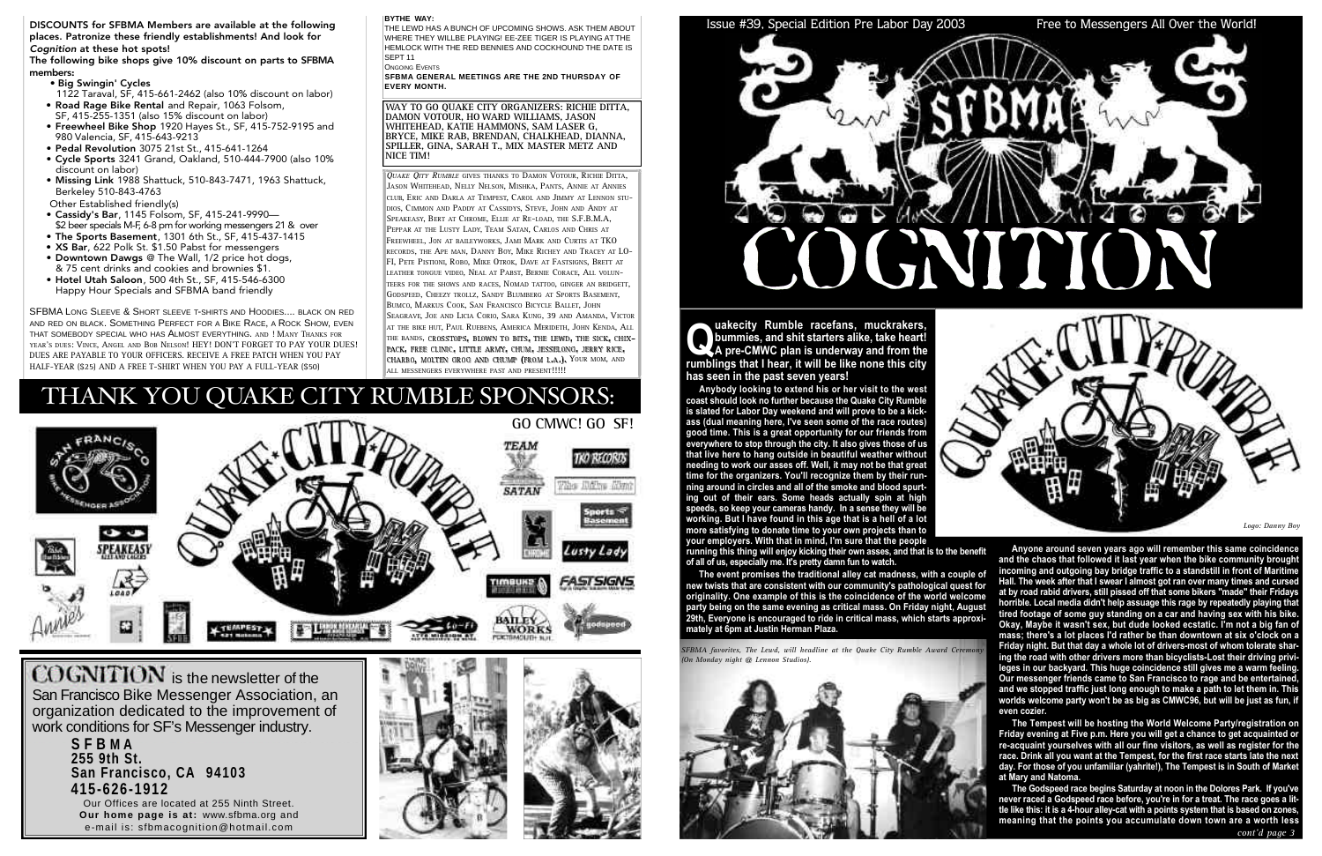THE LEWD HAS A BUNCH OF UPCOMING SHOWS. ASK THEM ABOUT WHERE THEY WILLBE PLAYING! EE-ZEE TIGER IS PLAYING AT THE HEMLOCK WITH THE RED BENNIES AND COCKHOUND THE DATE IS SEPT<sub>11</sub>

**ONGOING EVENTS** 

**SFBMA GENERAL MEETINGS ARE THE 2ND THURSDAY OF EVERY MONTH.** 

COGNITION is the newsletter of the San Francisco Bike Messenger Association, an organization dedicated to the improvement of work conditions for SF's Messenger industry.

#### **BYTHE WAY:**

**S F B M A 255 9th St.** San Francisco, CA 94103 **4 1 5 - 6 2 6 - 1 9 1 2**

Our Offices are located at 255 Ninth Street. **Our home page is at: www.sfbma.org and** e-mail is: sfbmacognition@hotmail.com





#### Issue #39, Special Edition Pre Labor Day 2003 Free to Messengers All Over the World!



DISCOUNTS for SFBMA Members are available at the following places. Patronize these friendly establishments! And look for *Cognition* at these hot spots!

The following bike shops give 10% discount on parts to SFBMA members:

> **Q** uakecity Rumble racefans, muckrakers,<br>bummies, and shit starters alike, take heart!<br>A pre-CMWC plan is underway and from the<br>rumblings that I hear, it will be like none this city **uakecity Rumble racefans, muckrakers, bummies, and shit starters alike, take heart! A pre-CMWC plan is underway and from the has seen in the past seven years!**

- Big Swingin' Cycles
- 1122 Taraval, SF, 415-661-2462 (also 10% discount on labor) • Road Rage Bike Rental and Repair, 1063 Folsom,
- SF, 415-255-1351 (also 15% discount on labor) • Freewheel Bike Shop 1920 Hayes St., SF, 415-752-9195 and
- 980 Valencia, SF, 415-643-9213
- Pedal Revolution 3075 21st St., 415-641-1264
- Cycle Sports 3241 Grand, Oakland, 510-444-7900 (also 10% discount on labor)
- Missing Link 1988 Shattuck, 510-843-7471, 1963 Shattuck, Berkeley 510-843-4763

Other Established friendly(s)

- Cassidy's Bar, 1145 Folsom, SF, 415-241-9990— \$2 beer specials M-F, 6-8 pm for working messengers 21 & over
- The Sports Basement, 1301 6th St., SF, 415-437-1415
- XS Bar, 622 Polk St. \$1.50 Pabst for messengers
- Downtown Dawgs @ The Wall, 1/2 price hot dogs, & 75 cent drinks and cookies and brownies \$1.
- Hotel Utah Saloon, 500 4th St., SF, 415-546-6300 Happy Hour Specials and SFBMA band friendly

SFBMA LONG SLEEVE & SHORT SLEEVE T-SHIRTS AND HOODIES.... BLACK ON RED AND RED ON BLACK. SOMETHING PERFECT FOR A BIKE RACE, A ROCK SHOW, EVEN THAT SOMEBODY SPECIAL WHO HAS ALMOST EVERYTHING. AND ! MANY THANKS FOR YEAR'S DUES: VINCE, ANGEL AND BOB NELSON! HEY! DON'T FORGET TO PAY YOUR DUES! DUES ARE PAYABLE TO YOUR OFFICERS. RECEIVE A FREE PATCH WHEN YOU PAY HALF-YEAR (\$25) AND A FREE T-SHIRT WHEN YOU PAY A FULL-YEAR (\$50)

> SFBMA favorites, The Lewd, will headline at the Quake City Rumble Award Ceremon *(On Monday night @ Lennon Studios).*







**Anybody looking to extend his or her visit to the west coast should look no further because the Quake City Rumble is slated for Labor Day weekend and will prove to be a kickass (dual meaning here, I've seen some of the race routes) good time. This is a great opportunity for our friends from everywhere to stop through the city. It also gives those of us that live here to hang outside in beautiful weather without needing to work our asses off. Well, it may not be that great time for the organizers. You'll recognize them by their running around in circles and all of the smoke and blood spurting out of their ears. Some heads actually spin at high speeds, so keep your cameras handy. In a sense they will be working. But I have found in this age that is a hell of a lot more satisfying to donate time to your own projects than to your employers. With that in mind, I'm sure that the people**

**running this thing will enjoy kicking their own asses, and that is to the benefit of all of us, especially me. It's pretty damn fun to watch.**

**The event promises the traditional alley cat madness, with a couple of new twists that are consistent with our community's pathological quest for originality. One example of this is the coincidence of the world welcome party being on the same evening as critical mass. On Friday night, August 29th, Everyone is encouraged to ride in critical mass, which starts approximately at 6pm at Justin Herman Plaza.** 

**Anyone around seven years ago will remember this same coincidence and the chaos that followed it last year when the bike community brought incoming and outgoing bay bridge traffic to a standstill in front of Maritime Hall. The week after that I swear I almost got ran over many times and cursed at by road rabid drivers, still pissed off that some bikers "made" their Fridays horrible. Local media didn't help assuage this rage by repeatedly playing that tired footage of some guy standing on a car and having sex with his bike. Okay, Maybe it wasn't sex, but dude looked ecstatic. I'm not a big fan of mass; there's a lot places I'd rather be than downtown at six o'clock on a Friday night. But that day a whole lot of drivers-most of whom tolerate sharing the road with other drivers more than bicyclists-Lost their driving privileges in our backyard. This huge coincidence still gives me a warm feeling. Our messenger friends came to San Francisco to rage and be entertained, and we stopped traffic just long enough to make a path to let them in. This worlds welcome party won't be as big as CMWC96, but will be just as fun, if even cozier.** 

**The Tempest will be hosting the World Welcome Party/registration on Friday evening at Five p.m. Here you will get a chance to get acquainted or re-acquaint yourselves with all our fine visitors, as well as register for the race. Drink all you want at the Tempest, for the first race starts late the next day. For those of you unfamiliar (yahrite!), The Tempest is in South of Market at Mary and Natoma.**

**The Godspeed race begins Saturday at noon in the Dolores Park. If you've never raced a Godspeed race before, you're in for a treat. The race goes a little like this: it is a 4-hour alley-cat with a points system that is based on zones, meaning that the points you accumulate down town are a worth less**

*Logo: Danny Boy*



## THANK YOU QUAKE CITY RUMBLE SPONSORS:

**WAY TO GO QUAKE CITY ORGANIZERS: RICHIE DITTA, DAMON VOTOUR, HO WARD WILLIAMS, JASON WHITEHEAD, KATIE HAMMONS, SAM LASER G, BRYCE, MIKE RAB, BRENDAN, CHALKHEAD, DIANNA, SPILLER, GINA, SARAH T., MIX MASTER METZ AND NICE TIM!**

*QUAKE QITY RUMBLE* GIVES THANKS TO DAMON VOTOUR, RICHIE DITTA, JASON WHITEHEAD, NELLY NELSON, MISHKA, PANTS, ANNIE AT ANNIES CLUB, ERIC AND DARLA AT TEMPEST, CAROL AND JIMMY AT LENNON STU-DIOS, CIMMON AND PADDY AT CASSIDYS, STEVE, JOHN AND ANDY AT SPEAKEASY, BERT AT CHROME, ELLIE AT RE-LOAD, THE S.F.B.M.A, PEPPAR AT THE LUSTY LADY, TEAM SATAN, CARLOS AND CHRIS AT FREEWHEEL, JON AT BAILEYWORKS, JAMI MARK AND CURTIS AT TKO RECORDS, THE APE MAN, DANNY BOY, MIKE RICHEY AND TRACEY AT LO-FI, PETE PISTIONI, ROBO, MIKE OTROK, DAVE AT FASTSIGNS, BRETT AT LEATHER TONGUE VIDEO, NEAL AT PABST, BERNIE CORACE, ALL VOLUN-TEERS FOR THE SHOWS AND RACES, NOMAD TATTOO, GINGER AN BRIDGETT, GODSPEED, CHEEZY TROLLZ, SANDY BLUMBERG AT SPORTS BASEMENT, BUMCO, MARKUS COOK, SAN FRANCISCO BICYCLE BALLET, JOHN SEAGRAVE, JOE AND LICIA CORIO, SARA KUNG, 39 AND AMANDA, VICTOR AT THE BIKE HUT, PAUL RUEBENS, AMERICA MERIDETH, JOHN KENDA, ALL THE BANDS, CROSSTOPS, BLOWN TO BITS, THE LEWD, THE SICK, CHIX-PACK, FREE CLINIC, LITTLE ARMY, CHUM, JESSELONG, JERRY RICE, CHARBO, MOLTEN GROG AND CHUMP (FROM L.A.), YOUR MOM, AND ALL MESSENGERS EVERYWHERE PAST AND PRESENT!!!!!